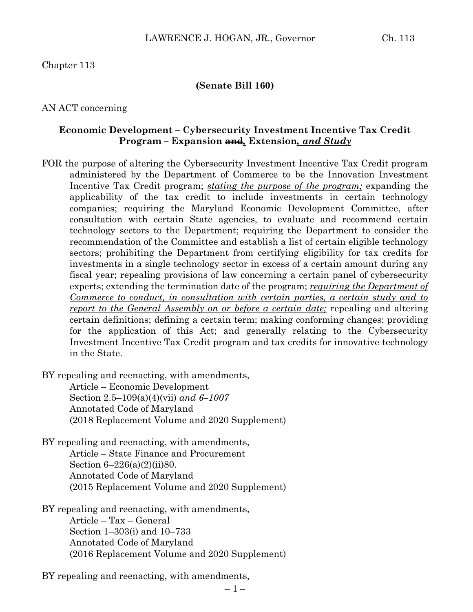## Chapter 113

#### **(Senate Bill 160)**

### AN ACT concerning

## **Economic Development – Cybersecurity Investment Incentive Tax Credit Program – Expansion and***,* **Extension***, and Study*

FOR the purpose of altering the Cybersecurity Investment Incentive Tax Credit program administered by the Department of Commerce to be the Innovation Investment Incentive Tax Credit program; *stating the purpose of the program;* expanding the applicability of the tax credit to include investments in certain technology companies; requiring the Maryland Economic Development Committee, after consultation with certain State agencies, to evaluate and recommend certain technology sectors to the Department; requiring the Department to consider the recommendation of the Committee and establish a list of certain eligible technology sectors; prohibiting the Department from certifying eligibility for tax credits for investments in a single technology sector in excess of a certain amount during any fiscal year; repealing provisions of law concerning a certain panel of cybersecurity experts; extending the termination date of the program; *requiring the Department of Commerce to conduct, in consultation with certain parties, a certain study and to report to the General Assembly on or before a certain date;* repealing and altering certain definitions; defining a certain term; making conforming changes; providing for the application of this Act; and generally relating to the Cybersecurity Investment Incentive Tax Credit program and tax credits for innovative technology in the State.

BY repealing and reenacting, with amendments,

Article – Economic Development Section 2.5–109(a)(4)(vii) *and 6–1007* Annotated Code of Maryland (2018 Replacement Volume and 2020 Supplement)

- BY repealing and reenacting, with amendments, Article – State Finance and Procurement Section 6–226(a)(2)(ii)80. Annotated Code of Maryland (2015 Replacement Volume and 2020 Supplement)
- BY repealing and reenacting, with amendments, Article – Tax – General Section 1–303(i) and 10–733 Annotated Code of Maryland (2016 Replacement Volume and 2020 Supplement)

BY repealing and reenacting, with amendments,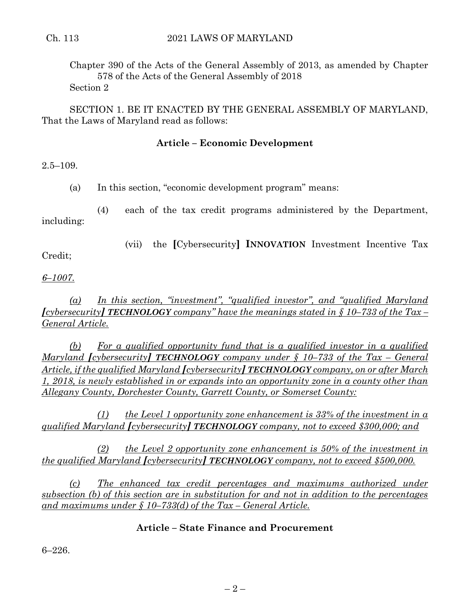Chapter 390 of the Acts of the General Assembly of 2013, as amended by Chapter 578 of the Acts of the General Assembly of 2018 Section 2

SECTION 1. BE IT ENACTED BY THE GENERAL ASSEMBLY OF MARYLAND, That the Laws of Maryland read as follows:

## **Article – Economic Development**

 $2.5 - 109.$ 

(a) In this section, "economic development program" means:

(4) each of the tax credit programs administered by the Department, including:

Credit;

(vii) the **[**Cybersecurity**] INNOVATION** Investment Incentive Tax

*6–1007.*

*(a) In this section, "investment", "qualified investor", and "qualified Maryland [cybersecurity] TECHNOLOGY company" have the meanings stated in § 10–733 of the Tax – General Article.*

*(b) For a qualified opportunity fund that is a qualified investor in a qualified Maryland [cybersecurity] TECHNOLOGY company under § 10–733 of the Tax – General Article, if the qualified Maryland [cybersecurity] TECHNOLOGY company, on or after March 1, 2018, is newly established in or expands into an opportunity zone in a county other than Allegany County, Dorchester County, Garrett County, or Somerset County:*

*(1) the Level 1 opportunity zone enhancement is 33% of the investment in a qualified Maryland [cybersecurity] TECHNOLOGY company, not to exceed \$300,000; and*

*(2) the Level 2 opportunity zone enhancement is 50% of the investment in the qualified Maryland [cybersecurity] TECHNOLOGY company, not to exceed \$500,000.*

*(c) The enhanced tax credit percentages and maximums authorized under subsection (b) of this section are in substitution for and not in addition to the percentages and maximums under § 10–733(d) of the Tax – General Article.*

## **Article – State Finance and Procurement**

6–226.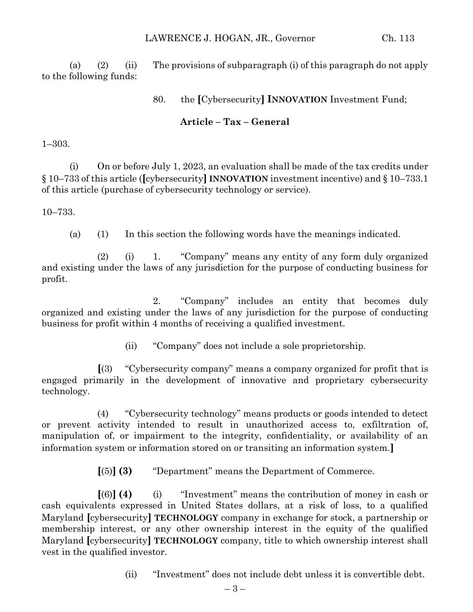(a) (2) (ii) The provisions of subparagraph (i) of this paragraph do not apply to the following funds:

80. the **[**Cybersecurity**] INNOVATION** Investment Fund;

# **Article – Tax – General**

1–303.

(i) On or before July 1, 2023, an evaluation shall be made of the tax credits under § 10–733 of this article (**[**cybersecurity**] INNOVATION** investment incentive) and § 10–733.1 of this article (purchase of cybersecurity technology or service).

10–733.

(a) (1) In this section the following words have the meanings indicated.

(2) (i) 1. "Company" means any entity of any form duly organized and existing under the laws of any jurisdiction for the purpose of conducting business for profit.

2. "Company" includes an entity that becomes duly organized and existing under the laws of any jurisdiction for the purpose of conducting business for profit within 4 months of receiving a qualified investment.

(ii) "Company" does not include a sole proprietorship.

**[**(3) "Cybersecurity company" means a company organized for profit that is engaged primarily in the development of innovative and proprietary cybersecurity technology.

(4) "Cybersecurity technology" means products or goods intended to detect or prevent activity intended to result in unauthorized access to, exfiltration of, manipulation of, or impairment to the integrity, confidentiality, or availability of an information system or information stored on or transiting an information system.**]**

**[**(5)**] (3)** "Department" means the Department of Commerce.

**[**(6)**] (4)** (i) "Investment" means the contribution of money in cash or cash equivalents expressed in United States dollars, at a risk of loss, to a qualified Maryland **[**cybersecurity**] TECHNOLOGY** company in exchange for stock, a partnership or membership interest, or any other ownership interest in the equity of the qualified Maryland **[**cybersecurity**] TECHNOLOGY** company, title to which ownership interest shall vest in the qualified investor.

(ii) "Investment" does not include debt unless it is convertible debt.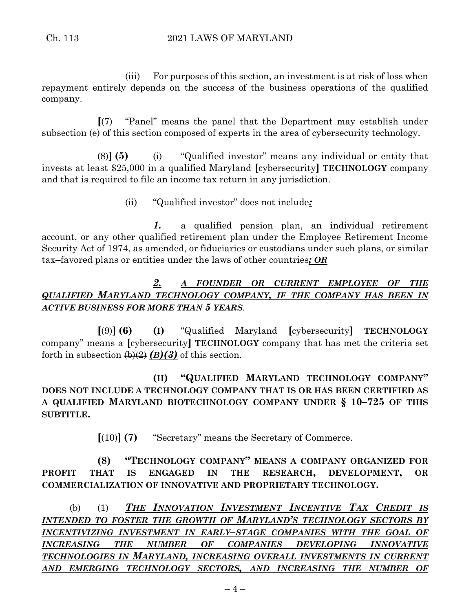(iii) For purposes of this section, an investment is at risk of loss when repayment entirely depends on the success of the business operations of the qualified company.

**[**(7) "Panel" means the panel that the Department may establish under subsection (e) of this section composed of experts in the area of cybersecurity technology.

(8)**] (5)** (i) "Qualified investor" means any individual or entity that invests at least \$25,000 in a qualified Maryland **[**cybersecurity**] TECHNOLOGY** company and that is required to file an income tax return in any jurisdiction.

(ii) "Qualified investor" does not include*:*

*1.* a qualified pension plan, an individual retirement account, or any other qualified retirement plan under the Employee Retirement Income Security Act of 1974, as amended, or fiduciaries or custodians under such plans, or similar tax–favored plans or entities under the laws of other countries*; OR*

# *2. A FOUNDER OR CURRENT EMPLOYEE OF THE QUALIFIED MARYLAND TECHNOLOGY COMPANY, IF THE COMPANY HAS BEEN IN ACTIVE BUSINESS FOR MORE THAN 5 YEARS*.

**[**(9)**] (6) (I)** "Qualified Maryland **[**cybersecurity**] TECHNOLOGY** company" means a **[**cybersecurity**] TECHNOLOGY** company that has met the criteria set forth in subsection  $\left(\frac{b}{2}\right)(2)$  of this section.

# **(II) "QUALIFIED MARYLAND TECHNOLOGY COMPANY" DOES NOT INCLUDE A TECHNOLOGY COMPANY THAT IS OR HAS BEEN CERTIFIED AS A QUALIFIED MARYLAND BIOTECHNOLOGY COMPANY UNDER § 10–725 OF THIS SUBTITLE.**

**[**(10)**] (7)** "Secretary" means the Secretary of Commerce.

**(8) "TECHNOLOGY COMPANY" MEANS A COMPANY ORGANIZED FOR PROFIT THAT IS ENGAGED IN THE RESEARCH, DEVELOPMENT, OR COMMERCIALIZATION OF INNOVATIVE AND PROPRIETARY TECHNOLOGY.**

(b) (1) *THE INNOVATION INVESTMENT INCENTIVE TAX CREDIT IS INTENDED TO FOSTER THE GROWTH OF MARYLAND'S TECHNOLOGY SECTORS BY INCENTIVIZING INVESTMENT IN EARLY–STAGE COMPANIES WITH THE GOAL OF INCREASING THE NUMBER OF COMPANIES DEVELOPING INNOVATIVE TECHNOLOGIES IN MARYLAND, INCREASING OVERALL INVESTMENTS IN CURRENT AND EMERGING TECHNOLOGY SECTORS, AND INCREASING THE NUMBER OF*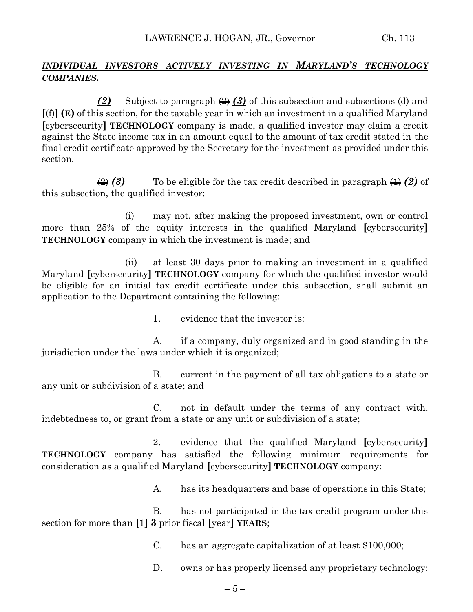## *INDIVIDUAL INVESTORS ACTIVELY INVESTING IN MARYLAND'S TECHNOLOGY COMPANIES.*

*(2)* Subject to paragraph (2) *(3)* of this subsection and subsections (d) and **[**(f)**] (E)** of this section, for the taxable year in which an investment in a qualified Maryland **[**cybersecurity**] TECHNOLOGY** company is made, a qualified investor may claim a credit against the State income tax in an amount equal to the amount of tax credit stated in the final credit certificate approved by the Secretary for the investment as provided under this section.

 $\Rightarrow$  (3) To be eligible for the tax credit described in paragraph  $\leftrightarrow$  (2) of this subsection, the qualified investor:

(i) may not, after making the proposed investment, own or control more than 25% of the equity interests in the qualified Maryland **[**cybersecurity**] TECHNOLOGY** company in which the investment is made; and

(ii) at least 30 days prior to making an investment in a qualified Maryland **[**cybersecurity**] TECHNOLOGY** company for which the qualified investor would be eligible for an initial tax credit certificate under this subsection, shall submit an application to the Department containing the following:

1. evidence that the investor is:

A. if a company, duly organized and in good standing in the jurisdiction under the laws under which it is organized;

B. current in the payment of all tax obligations to a state or any unit or subdivision of a state; and

C. not in default under the terms of any contract with, indebtedness to, or grant from a state or any unit or subdivision of a state;

2. evidence that the qualified Maryland **[**cybersecurity**] TECHNOLOGY** company has satisfied the following minimum requirements for consideration as a qualified Maryland **[**cybersecurity**] TECHNOLOGY** company:

A. has its headquarters and base of operations in this State;

B. has not participated in the tax credit program under this section for more than **[**1**] 3** prior fiscal **[**year**] YEARS**;

C. has an aggregate capitalization of at least \$100,000;

D. owns or has properly licensed any proprietary technology;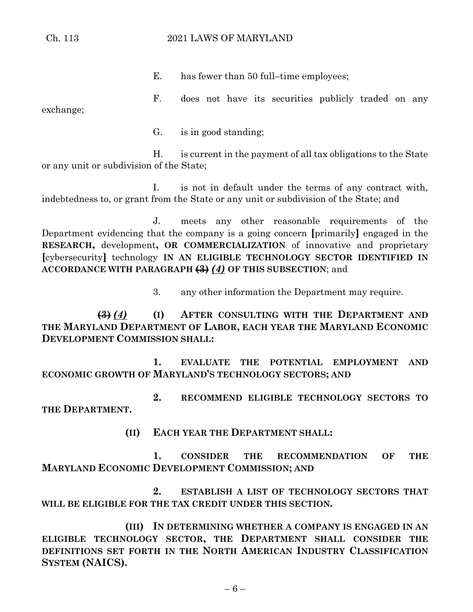### Ch. 113 2021 LAWS OF MARYLAND

E. has fewer than 50 full–time employees;

F. does not have its securities publicly traded on any exchange;

G. is in good standing;

H. is current in the payment of all tax obligations to the State or any unit or subdivision of the State;

I. is not in default under the terms of any contract with, indebtedness to, or grant from the State or any unit or subdivision of the State; and

J. meets any other reasonable requirements of the Department evidencing that the company is a going concern **[**primarily**]** engaged in the **RESEARCH,** development**, OR COMMERCIALIZATION** of innovative and proprietary **[**cybersecurity**]** technology **IN AN ELIGIBLE TECHNOLOGY SECTOR IDENTIFIED IN ACCORDANCE WITH PARAGRAPH (3)** *(4)* **OF THIS SUBSECTION**; and

3. any other information the Department may require.

**(3)** *(4)* **(I) AFTER CONSULTING WITH THE DEPARTMENT AND THE MARYLAND DEPARTMENT OF LABOR, EACH YEAR THE MARYLAND ECONOMIC DEVELOPMENT COMMISSION SHALL:**

**1. EVALUATE THE POTENTIAL EMPLOYMENT AND ECONOMIC GROWTH OF MARYLAND'S TECHNOLOGY SECTORS; AND**

**2. RECOMMEND ELIGIBLE TECHNOLOGY SECTORS TO THE DEPARTMENT.**

**(II) EACH YEAR THE DEPARTMENT SHALL:**

**1. CONSIDER THE RECOMMENDATION OF THE MARYLAND ECONOMIC DEVELOPMENT COMMISSION; AND**

**2. ESTABLISH A LIST OF TECHNOLOGY SECTORS THAT WILL BE ELIGIBLE FOR THE TAX CREDIT UNDER THIS SECTION.**

**(III) IN DETERMINING WHETHER A COMPANY IS ENGAGED IN AN ELIGIBLE TECHNOLOGY SECTOR, THE DEPARTMENT SHALL CONSIDER THE DEFINITIONS SET FORTH IN THE NORTH AMERICAN INDUSTRY CLASSIFICATION SYSTEM (NAICS).**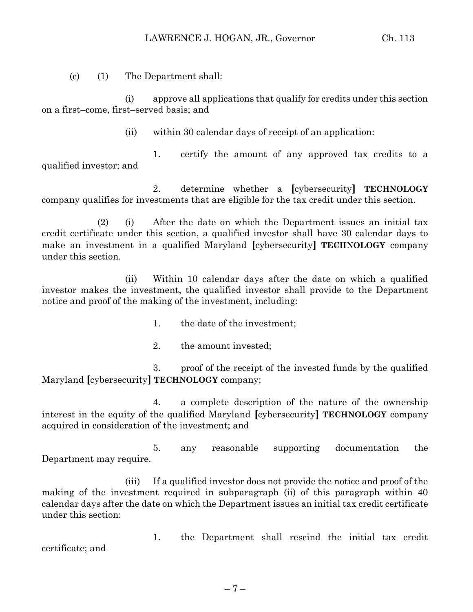(c) (1) The Department shall:

(i) approve all applications that qualify for credits under this section on a first–come, first–served basis; and

(ii) within 30 calendar days of receipt of an application:

1. certify the amount of any approved tax credits to a qualified investor; and

2. determine whether a **[**cybersecurity**] TECHNOLOGY** company qualifies for investments that are eligible for the tax credit under this section.

(2) (i) After the date on which the Department issues an initial tax credit certificate under this section, a qualified investor shall have 30 calendar days to make an investment in a qualified Maryland **[**cybersecurity**] TECHNOLOGY** company under this section.

(ii) Within 10 calendar days after the date on which a qualified investor makes the investment, the qualified investor shall provide to the Department notice and proof of the making of the investment, including:

- 1. the date of the investment;
- 2. the amount invested;

3. proof of the receipt of the invested funds by the qualified Maryland **[**cybersecurity**] TECHNOLOGY** company;

4. a complete description of the nature of the ownership interest in the equity of the qualified Maryland **[**cybersecurity**] TECHNOLOGY** company acquired in consideration of the investment; and

5. any reasonable supporting documentation the Department may require.

(iii) If a qualified investor does not provide the notice and proof of the making of the investment required in subparagraph (ii) of this paragraph within 40 calendar days after the date on which the Department issues an initial tax credit certificate under this section:

1. the Department shall rescind the initial tax credit certificate; and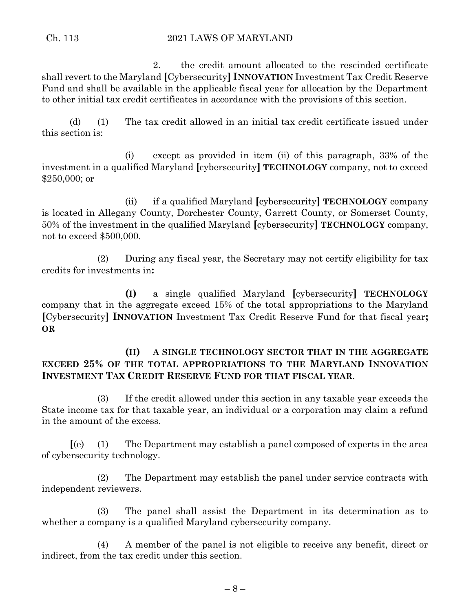2. the credit amount allocated to the rescinded certificate shall revert to the Maryland **[**Cybersecurity**] INNOVATION** Investment Tax Credit Reserve Fund and shall be available in the applicable fiscal year for allocation by the Department to other initial tax credit certificates in accordance with the provisions of this section.

(d) (1) The tax credit allowed in an initial tax credit certificate issued under this section is:

(i) except as provided in item (ii) of this paragraph, 33% of the investment in a qualified Maryland **[**cybersecurity**] TECHNOLOGY** company, not to exceed \$250,000; or

(ii) if a qualified Maryland **[**cybersecurity**] TECHNOLOGY** company is located in Allegany County, Dorchester County, Garrett County, or Somerset County, 50% of the investment in the qualified Maryland **[**cybersecurity**] TECHNOLOGY** company, not to exceed \$500,000.

(2) During any fiscal year, the Secretary may not certify eligibility for tax credits for investments in**:**

**(I)** a single qualified Maryland **[**cybersecurity**] TECHNOLOGY** company that in the aggregate exceed 15% of the total appropriations to the Maryland **[**Cybersecurity**] INNOVATION** Investment Tax Credit Reserve Fund for that fiscal year**; OR**

# **(II) A SINGLE TECHNOLOGY SECTOR THAT IN THE AGGREGATE EXCEED 25% OF THE TOTAL APPROPRIATIONS TO THE MARYLAND INNOVATION INVESTMENT TAX CREDIT RESERVE FUND FOR THAT FISCAL YEAR**.

(3) If the credit allowed under this section in any taxable year exceeds the State income tax for that taxable year, an individual or a corporation may claim a refund in the amount of the excess.

**[**(e) (1) The Department may establish a panel composed of experts in the area of cybersecurity technology.

(2) The Department may establish the panel under service contracts with independent reviewers.

(3) The panel shall assist the Department in its determination as to whether a company is a qualified Maryland cybersecurity company.

(4) A member of the panel is not eligible to receive any benefit, direct or indirect, from the tax credit under this section.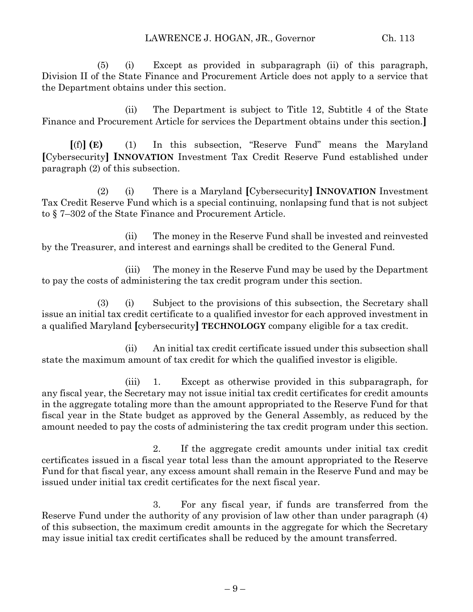(5) (i) Except as provided in subparagraph (ii) of this paragraph, Division II of the State Finance and Procurement Article does not apply to a service that the Department obtains under this section.

(ii) The Department is subject to Title 12, Subtitle 4 of the State Finance and Procurement Article for services the Department obtains under this section.**]**

**[**(f)**] (E)** (1) In this subsection, "Reserve Fund" means the Maryland **[**Cybersecurity**] INNOVATION** Investment Tax Credit Reserve Fund established under paragraph (2) of this subsection.

(2) (i) There is a Maryland **[**Cybersecurity**] INNOVATION** Investment Tax Credit Reserve Fund which is a special continuing, nonlapsing fund that is not subject to § 7–302 of the State Finance and Procurement Article.

(ii) The money in the Reserve Fund shall be invested and reinvested by the Treasurer, and interest and earnings shall be credited to the General Fund.

(iii) The money in the Reserve Fund may be used by the Department to pay the costs of administering the tax credit program under this section.

(3) (i) Subject to the provisions of this subsection, the Secretary shall issue an initial tax credit certificate to a qualified investor for each approved investment in a qualified Maryland **[**cybersecurity**] TECHNOLOGY** company eligible for a tax credit.

(ii) An initial tax credit certificate issued under this subsection shall state the maximum amount of tax credit for which the qualified investor is eligible.

(iii) 1. Except as otherwise provided in this subparagraph, for any fiscal year, the Secretary may not issue initial tax credit certificates for credit amounts in the aggregate totaling more than the amount appropriated to the Reserve Fund for that fiscal year in the State budget as approved by the General Assembly, as reduced by the amount needed to pay the costs of administering the tax credit program under this section.

2. If the aggregate credit amounts under initial tax credit certificates issued in a fiscal year total less than the amount appropriated to the Reserve Fund for that fiscal year, any excess amount shall remain in the Reserve Fund and may be issued under initial tax credit certificates for the next fiscal year.

3. For any fiscal year, if funds are transferred from the Reserve Fund under the authority of any provision of law other than under paragraph (4) of this subsection, the maximum credit amounts in the aggregate for which the Secretary may issue initial tax credit certificates shall be reduced by the amount transferred.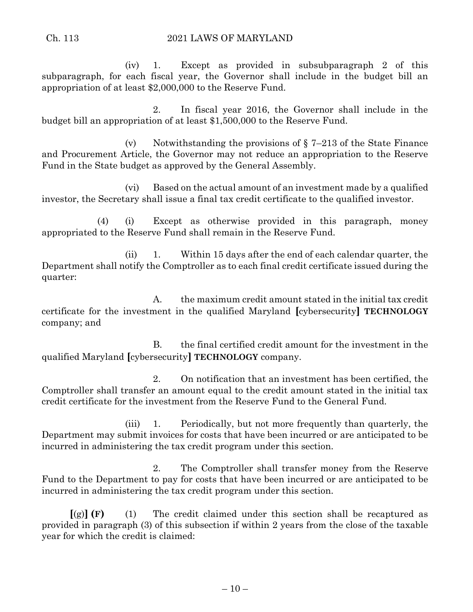(iv) 1. Except as provided in subsubparagraph 2 of this subparagraph, for each fiscal year, the Governor shall include in the budget bill an appropriation of at least \$2,000,000 to the Reserve Fund.

2. In fiscal year 2016, the Governor shall include in the budget bill an appropriation of at least \$1,500,000 to the Reserve Fund.

(v) Notwithstanding the provisions of  $\S 7-213$  of the State Finance and Procurement Article, the Governor may not reduce an appropriation to the Reserve Fund in the State budget as approved by the General Assembly.

(vi) Based on the actual amount of an investment made by a qualified investor, the Secretary shall issue a final tax credit certificate to the qualified investor.

(4) (i) Except as otherwise provided in this paragraph, money appropriated to the Reserve Fund shall remain in the Reserve Fund.

(ii) 1. Within 15 days after the end of each calendar quarter, the Department shall notify the Comptroller as to each final credit certificate issued during the quarter:

A. the maximum credit amount stated in the initial tax credit certificate for the investment in the qualified Maryland **[**cybersecurity**] TECHNOLOGY** company; and

B. the final certified credit amount for the investment in the qualified Maryland **[**cybersecurity**] TECHNOLOGY** company.

2. On notification that an investment has been certified, the Comptroller shall transfer an amount equal to the credit amount stated in the initial tax credit certificate for the investment from the Reserve Fund to the General Fund.

(iii) 1. Periodically, but not more frequently than quarterly, the Department may submit invoices for costs that have been incurred or are anticipated to be incurred in administering the tax credit program under this section.

2. The Comptroller shall transfer money from the Reserve Fund to the Department to pay for costs that have been incurred or are anticipated to be incurred in administering the tax credit program under this section.

**[**(g)**] (F)** (1) The credit claimed under this section shall be recaptured as provided in paragraph (3) of this subsection if within 2 years from the close of the taxable year for which the credit is claimed: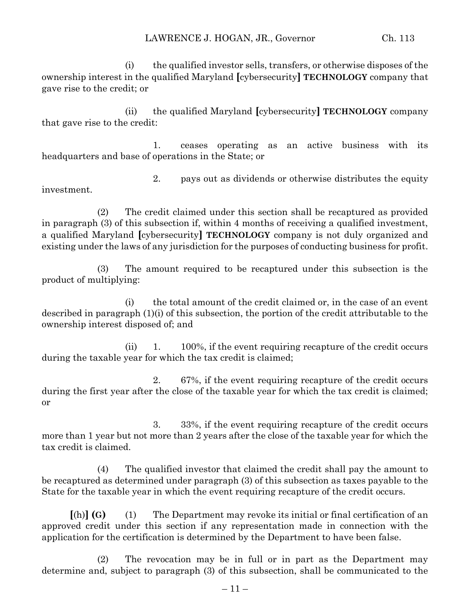(i) the qualified investor sells, transfers, or otherwise disposes of the ownership interest in the qualified Maryland **[**cybersecurity**] TECHNOLOGY** company that gave rise to the credit; or

(ii) the qualified Maryland **[**cybersecurity**] TECHNOLOGY** company that gave rise to the credit:

1. ceases operating as an active business with its headquarters and base of operations in the State; or

2. pays out as dividends or otherwise distributes the equity investment.

(2) The credit claimed under this section shall be recaptured as provided in paragraph (3) of this subsection if, within 4 months of receiving a qualified investment, a qualified Maryland **[**cybersecurity**] TECHNOLOGY** company is not duly organized and existing under the laws of any jurisdiction for the purposes of conducting business for profit.

(3) The amount required to be recaptured under this subsection is the product of multiplying:

(i) the total amount of the credit claimed or, in the case of an event described in paragraph (1)(i) of this subsection, the portion of the credit attributable to the ownership interest disposed of; and

(ii) 1. 100%, if the event requiring recapture of the credit occurs during the taxable year for which the tax credit is claimed;

2. 67%, if the event requiring recapture of the credit occurs during the first year after the close of the taxable year for which the tax credit is claimed; or

3. 33%, if the event requiring recapture of the credit occurs more than 1 year but not more than 2 years after the close of the taxable year for which the tax credit is claimed.

(4) The qualified investor that claimed the credit shall pay the amount to be recaptured as determined under paragraph (3) of this subsection as taxes payable to the State for the taxable year in which the event requiring recapture of the credit occurs.

**[**(h)**] (G)** (1) The Department may revoke its initial or final certification of an approved credit under this section if any representation made in connection with the application for the certification is determined by the Department to have been false.

(2) The revocation may be in full or in part as the Department may determine and, subject to paragraph (3) of this subsection, shall be communicated to the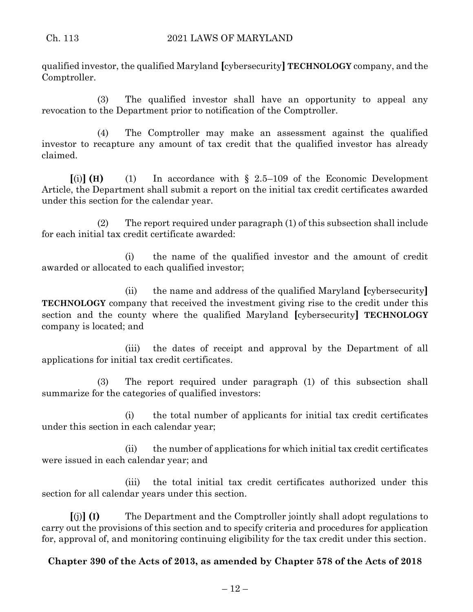qualified investor, the qualified Maryland **[**cybersecurity**] TECHNOLOGY** company, and the Comptroller.

(3) The qualified investor shall have an opportunity to appeal any revocation to the Department prior to notification of the Comptroller.

(4) The Comptroller may make an assessment against the qualified investor to recapture any amount of tax credit that the qualified investor has already claimed.

 $\lbrack \text{ (i)} \rbrack$  **(H)** (1) In accordance with § 2.5–109 of the Economic Development Article, the Department shall submit a report on the initial tax credit certificates awarded under this section for the calendar year.

(2) The report required under paragraph (1) of this subsection shall include for each initial tax credit certificate awarded:

(i) the name of the qualified investor and the amount of credit awarded or allocated to each qualified investor;

(ii) the name and address of the qualified Maryland **[**cybersecurity**] TECHNOLOGY** company that received the investment giving rise to the credit under this section and the county where the qualified Maryland **[**cybersecurity**] TECHNOLOGY** company is located; and

(iii) the dates of receipt and approval by the Department of all applications for initial tax credit certificates.

(3) The report required under paragraph (1) of this subsection shall summarize for the categories of qualified investors:

(i) the total number of applicants for initial tax credit certificates under this section in each calendar year;

(ii) the number of applications for which initial tax credit certificates were issued in each calendar year; and

(iii) the total initial tax credit certificates authorized under this section for all calendar years under this section.

**[**(j)**] (I)** The Department and the Comptroller jointly shall adopt regulations to carry out the provisions of this section and to specify criteria and procedures for application for, approval of, and monitoring continuing eligibility for the tax credit under this section.

## **Chapter 390 of the Acts of 2013, as amended by Chapter 578 of the Acts of 2018**